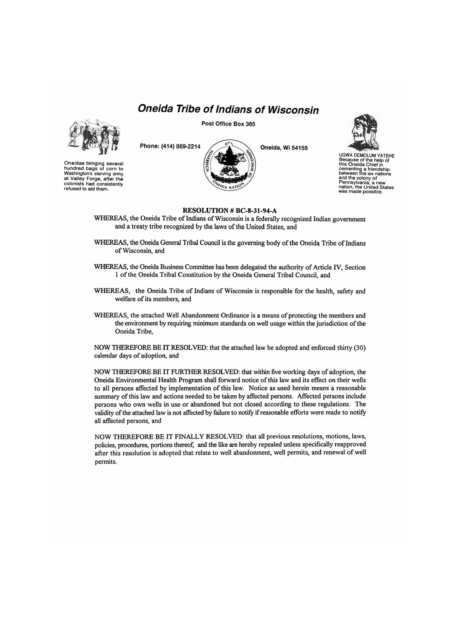## *Oneida Tribe of Indians of Wisconsin*





Oneidas bringing several hundred bags of corn to Washington's starving army at Valley Forge, after the colonists had consistently refused to aid them.

**Phone: (414) 869-2214** 



**Oneida, Wi 54155** 



UGWA DEMOLUM YATEHE Because of the help of this Oneida Chief in cementing a friendship between the six nations and the colony of Pennsylvania, a new nation, the United States was made possible.

## **RESOLUTION # BC-8-31-94-A**

- WHEREAS, the Oneida Tribe of Indians of Wisconsin is a federally recognized Indian government and a treaty tribe recognized by the laws of the United States, and
- WHEREAS, the Oneida General Tribal Council is the governing body of the Oneida Tribe of Indians of Wisconsin, and
- WHEREAS, the Oneida Business Committee has been delegated the authority of Article IV, Section 1 of the Oneida Tribal Constitution by the Oneida General Tribal Council, and
- WHEREAS, the Oneida Tribe of Indians of Wisconsin is responsible for the health, safety and welfare of its members, and
- WHEREAS, the attached Well Abandonment Ordinance is a means of protecting the members and the environment by requiring minimum standards on well usage within the jurisdiction of the Oneida Tribe,

NOW THEREFORE BE IT RESOLVED: that the attached law be adopted and enforced thirty (30) calendar days of adoption, and

NOW THEREFORE BE IT FURTHER RESOLVED: that within five working days of adoption, the Oneida Environmental Health Program shall forward notice of this law and its effect on their wells to all persons affected by implementation of this law. Notice as used herein means a reasonable summary of this law and actions needed to be taken by affected persons. Affected persons include persons who own wells in use or abandoned but not closed according to these regulations. The validity of the attached law is not affected by failure to notify if reasonable efforts were made to notify all affected persons, and

NOW THEREFORE BE IT FINALLY RESOLVED: that all previous resolutions, motions, laws, policies, procedures, portions thereof, and the like are hereby repealed unless specifically reapproved after this resolution is adopted that relate to well abandonment, well permits, and renewal of well permits.